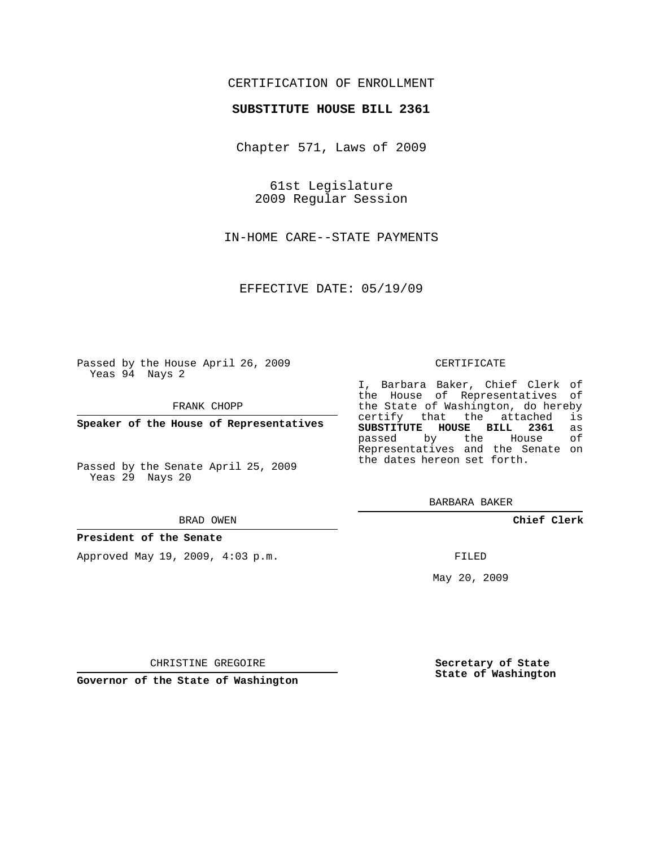# CERTIFICATION OF ENROLLMENT

## **SUBSTITUTE HOUSE BILL 2361**

Chapter 571, Laws of 2009

61st Legislature 2009 Regular Session

IN-HOME CARE--STATE PAYMENTS

EFFECTIVE DATE: 05/19/09

Passed by the House April 26, 2009 Yeas 94 Nays 2

FRANK CHOPP

**Speaker of the House of Representatives**

Passed by the Senate April 25, 2009 Yeas 29 Nays 20

#### BRAD OWEN

### **President of the Senate**

Approved May 19, 2009, 4:03 p.m.

#### CERTIFICATE

I, Barbara Baker, Chief Clerk of the House of Representatives of the State of Washington, do hereby<br>certify that the attached is certify that the attached **SUBSTITUTE HOUSE BILL 2361** as passed by the Representatives and the Senate on the dates hereon set forth.

BARBARA BAKER

**Chief Clerk**

FILED

May 20, 2009

**Secretary of State State of Washington**

CHRISTINE GREGOIRE

**Governor of the State of Washington**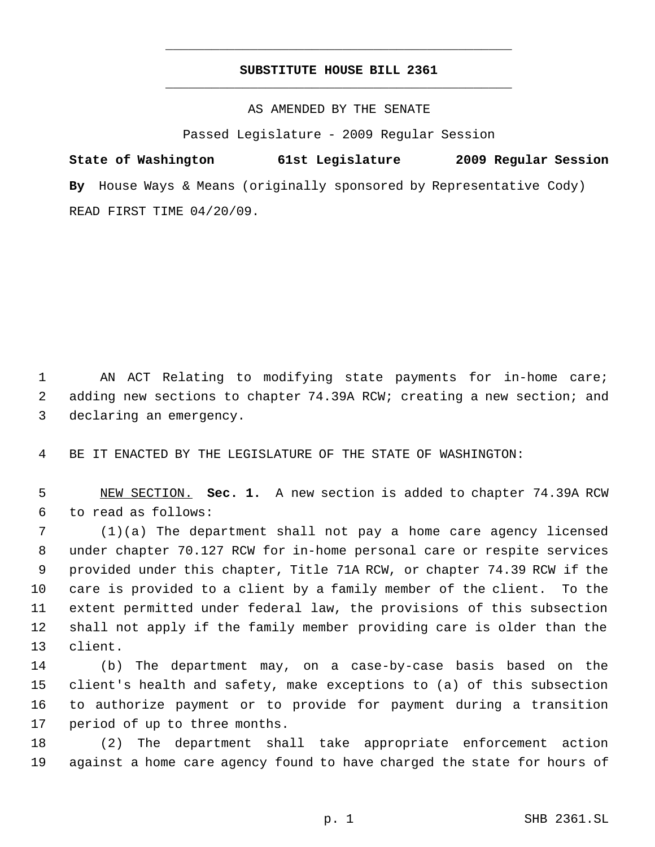# **SUBSTITUTE HOUSE BILL 2361** \_\_\_\_\_\_\_\_\_\_\_\_\_\_\_\_\_\_\_\_\_\_\_\_\_\_\_\_\_\_\_\_\_\_\_\_\_\_\_\_\_\_\_\_\_

\_\_\_\_\_\_\_\_\_\_\_\_\_\_\_\_\_\_\_\_\_\_\_\_\_\_\_\_\_\_\_\_\_\_\_\_\_\_\_\_\_\_\_\_\_

AS AMENDED BY THE SENATE

Passed Legislature - 2009 Regular Session

**State of Washington 61st Legislature 2009 Regular Session By** House Ways & Means (originally sponsored by Representative Cody) READ FIRST TIME 04/20/09.

 AN ACT Relating to modifying state payments for in-home care; adding new sections to chapter 74.39A RCW; creating a new section; and declaring an emergency.

BE IT ENACTED BY THE LEGISLATURE OF THE STATE OF WASHINGTON:

 NEW SECTION. **Sec. 1.** A new section is added to chapter 74.39A RCW to read as follows:

 (1)(a) The department shall not pay a home care agency licensed under chapter 70.127 RCW for in-home personal care or respite services provided under this chapter, Title 71A RCW, or chapter 74.39 RCW if the care is provided to a client by a family member of the client. To the extent permitted under federal law, the provisions of this subsection shall not apply if the family member providing care is older than the client.

 (b) The department may, on a case-by-case basis based on the client's health and safety, make exceptions to (a) of this subsection to authorize payment or to provide for payment during a transition period of up to three months.

 (2) The department shall take appropriate enforcement action against a home care agency found to have charged the state for hours of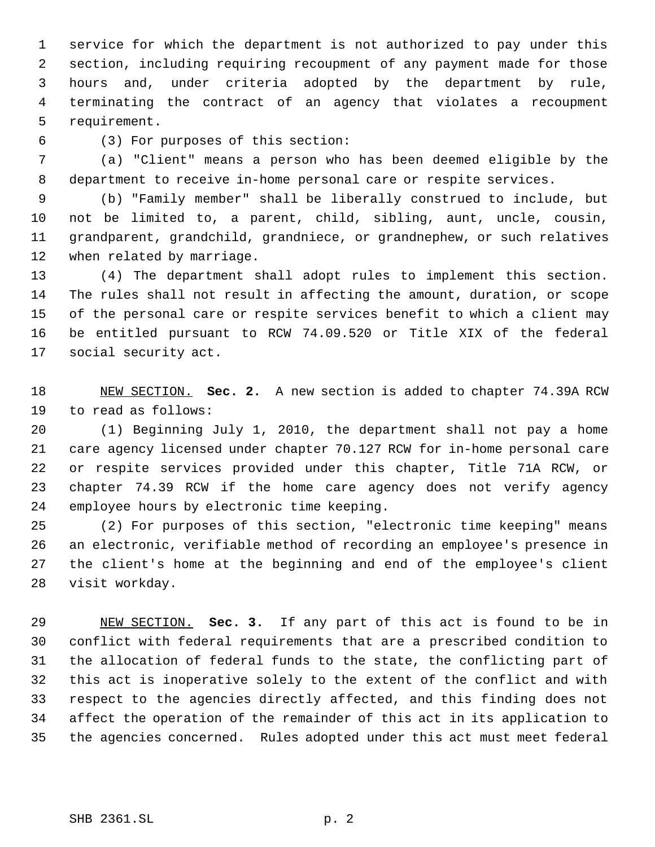service for which the department is not authorized to pay under this section, including requiring recoupment of any payment made for those hours and, under criteria adopted by the department by rule, terminating the contract of an agency that violates a recoupment requirement.

(3) For purposes of this section:

 (a) "Client" means a person who has been deemed eligible by the department to receive in-home personal care or respite services.

 (b) "Family member" shall be liberally construed to include, but not be limited to, a parent, child, sibling, aunt, uncle, cousin, grandparent, grandchild, grandniece, or grandnephew, or such relatives when related by marriage.

 (4) The department shall adopt rules to implement this section. The rules shall not result in affecting the amount, duration, or scope of the personal care or respite services benefit to which a client may be entitled pursuant to RCW 74.09.520 or Title XIX of the federal social security act.

 NEW SECTION. **Sec. 2.** A new section is added to chapter 74.39A RCW to read as follows:

 (1) Beginning July 1, 2010, the department shall not pay a home care agency licensed under chapter 70.127 RCW for in-home personal care or respite services provided under this chapter, Title 71A RCW, or chapter 74.39 RCW if the home care agency does not verify agency employee hours by electronic time keeping.

 (2) For purposes of this section, "electronic time keeping" means an electronic, verifiable method of recording an employee's presence in the client's home at the beginning and end of the employee's client visit workday.

 NEW SECTION. **Sec. 3.** If any part of this act is found to be in conflict with federal requirements that are a prescribed condition to the allocation of federal funds to the state, the conflicting part of this act is inoperative solely to the extent of the conflict and with respect to the agencies directly affected, and this finding does not affect the operation of the remainder of this act in its application to the agencies concerned. Rules adopted under this act must meet federal